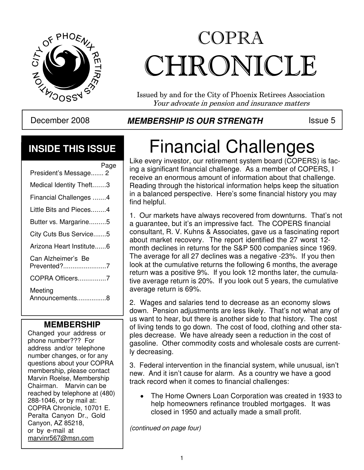

# COPRA CHRONICLE

Issued by and for the City of Phoenix Retirees Association Your advocate in pension and insurance matters

### December 2008 **MEMBERSHIP IS OUR STRENGTH** ISSue 5

### **INSIDE THIS ISSUE**

| Page                              |  |  |
|-----------------------------------|--|--|
| President's Message 2             |  |  |
| Medical Identity Theft3           |  |  |
| Financial Challenges 4            |  |  |
| Little Bits and Pieces4           |  |  |
| Butter vs. Margarine5             |  |  |
| City Cuts Bus Service5            |  |  |
| Arizona Heart Institute6          |  |  |
| Can Alzheimer's Be<br>Prevented?7 |  |  |
| COPRA Officers7                   |  |  |
| Meeting<br>Announcements8         |  |  |

### **MEMBERSHIP**

Changed your address or phone number??? For address and/or telephone number changes, or for any questions about your COPRA membership, please contact Marvin Roelse, Membership Chairman. Marvin can be reached by telephone at (480) 288-1046, or by mail at: COPRA Chronicle, 10701 E. Peralta Canyon Dr., Gold Canyon, AZ 85218, or by e-mail at marvinr567@msn.com

## Financial Challenges

Like every investor, our retirement system board (COPERS) is facing a significant financial challenge. As a member of COPERS, I receive an enormous amount of information about that challenge. Reading through the historical information helps keep the situation in a balanced perspective. Here's some financial history you may find helpful.

1. Our markets have always recovered from downturns. That's not a guarantee, but it's an impressive fact. The COPERS financial consultant, R. V. Kuhns & Associates, gave us a fascinating report about market recovery. The report identified the 27 worst 12 month declines in returns for the S&P 500 companies since 1969. The average for all 27 declines was a negative -23%. If you then look at the cumulative returns the following 6 months, the average return was a positive 9%. If you look 12 months later, the cumulative average return is 20%. If you look out 5 years, the cumulative average return is 69%.

 us want to hear, but there is another side to that history. The cost 2. Wages and salaries tend to decrease as an economy slows down. Pension adjustments are less likely. That's not what any of of living tends to go down. The cost of food, clothing and other staples decrease. We have already seen a reduction in the cost of gasoline. Other commodity costs and wholesale costs are currently decreasing.

3. Federal intervention in the financial system, while unusual, isn't new. And it isn't cause for alarm. As a country we have a good track record when it comes to financial challenges:

The Home Owners Loan Corporation was created in 1933 to  $\bullet$ help homeowners refinance troubled mortgages. It was closed in 1950 and actually made a small profit.

(continued on page four)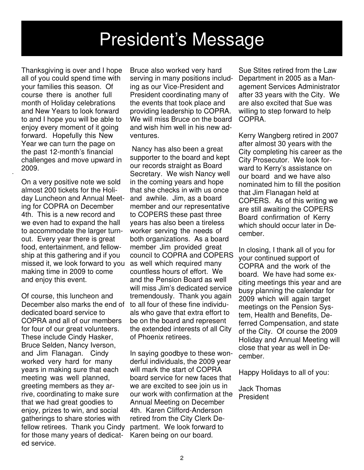## President's Message

Thanksgiving is over and I hope all of you could spend time with your families this season. Of course there is another full month of Holiday celebrations and New Years to look forward to and I hope you will be able to enjoy every moment of it going forward. Hopefully this New Year we can turn the page on the past 12-month's financial challenges and move upward in 2009.

On a very positive note we sold almost 200 tickets for the Holiday Luncheon and Annual Meeting for COPRA on December 4th. This is a new record and we even had to expand the hall to accommodate the larger turnout. Every year there is great food, entertainment, and fellowship at this gathering and if you missed it, we look forward to you making time in 2009 to come and enjoy this event.

Of course, this luncheon and December also marks the end of dedicated board service to COPRA and all of our members for four of our great volunteers. These include Cindy Hasker, Bruce Selden, Nancy Iverson, and Jim Flanagan. Cindy worked very hard for many years in making sure that each meeting was well planned, greeting members as they arrive, coordinating to make sure that we had great goodies to enjoy, prizes to win, and social gatherings to share stories with fellow retirees. Thank you Cindy for those many years of dedicated service.

Bruce also worked very hard serving in many positions including as our Vice-President and President coordinating many of the events that took place and providing leadership to COPRA. We will miss Bruce on the board and wish him well in his new adventures.

 Nancy has also been a great supporter to the board and kept our records straight as Board Secretary. We wish Nancy well in the coming years and hope that she checks in with us once and awhile. Jim, as a board member and our representative to COPERS these past three years has also been a tireless worker serving the needs of both organizations. As a board member Jim provided great council to COPRA and COPERS as well which required many countless hours of effort. We and the Pension Board as well will miss Jim's dedicated service tremendously. Thank you again to all four of these fine individuals who gave that extra effort to be on the board and represent the extended interests of all City of Phoenix retirees.

In saying goodbye to these wonderful individuals, the 2009 year will mark the start of COPRA board service for new faces that we are excited to see join us in our work with confirmation at the Annual Meeting on December 4th. Karen Clifford-Anderson retired from the City Clerk Department. We look forward to Karen being on our board.

Sue Stites retired from the Law Department in 2005 as a Management Services Administrator after 33 years with the City. We are also excited that Sue was willing to step forward to help COPRA.

Kerry Wangberg retired in 2007 after almost 30 years with the City completing his career as the City Prosecutor. We look forward to Kerry's assistance on our board and we have also nominated him to fill the position that Jim Flanagan held at COPERS. As of this writing we are still awaiting the COPERS Board confirmation of Kerry which should occur later in December.

In closing, I thank all of you for your continued support of COPRA and the work of the board. We have had some exciting meetings this year and are busy planning the calendar for 2009 which will again target meetings on the Pension System, Health and Benefits, Deferred Compensation, and state of the City. Of course the 2009 Holiday and Annual Meeting will close that year as well in December.

Happy Holidays to all of you:

Jack Thomas President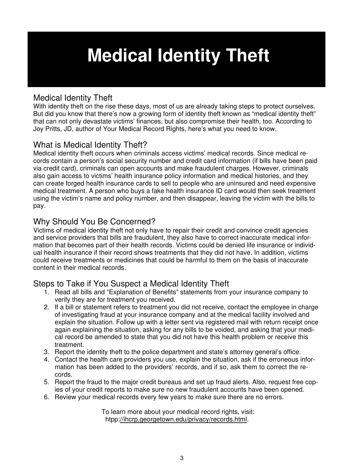## **Medical Identity Theft**

#### Medical Identity Theft

With identity theft on the rise these days, most of us are already taking steps to protect ourselves. But did you know that there's now a growing form of identity theft known as "medical identity theft" that can not only devastate victims' finances, but also compromise their health, too. According to Joy Pritts, JD, author of Your Medical Record Rights, here's what you need to know.

### What is Medical Identity Theft?

Medical identity theft occurs when criminals access victims' medical records. Since medical records contain a person's social security number and credit card information (if bills have been paid via credit card), criminals can open accounts and make fraudulent charges. However, criminals also gain access to victims' health insurance policy information and medical histories, and they can create forged health insurance cards to sell to people who are uninsured and need expensive medical treatment. A person who buys a fake health insurance ID card would then seek treatment using the victim's name and policy number, and then disappear, leaving the victim with the bills to pay.

#### Why Should You Be Concerned?

Victims of medical identity theft not only have to repair their credit and convince credit agencies and service providers that bills are fraudulent, they also have to correct inaccurate medical information that becomes part of their health records. Victims could be denied life insurance or individual health insurance if their record shows treatments that they did not have. In addition, victims could receive treatments or medicines that could be harmful to them on the basis of inaccurate content in their medical records.

### Steps to Take if You Suspect a Medical Identity Theft

- 1. Read all bills and "Explanation of Benefits" statements from your insurance company to verify they are for treatment you received.
- 2. If a bill or statement refers to treatment you did not receive, contact the employee in charge of investigating fraud at your insurance company and at the medical facility involved and explain the situation. Follow up with a letter sent via registered mail with return receipt once again explaining the situation, asking for any bills to be voided, and asking that your medical record be amended to state that you did not have this health problem or receive this treatment.
- 3. Report the identity theft to the police department and state's attorney general's office.
- 4. Contact the health care providers you use, explain the situation, ask if the erroneous information has been added to the providers' records, and if so, ask them to correct the records.
- 5. Report the fraud to the major credit bureaus and set up fraud alerts. Also, request free copies of your credit reports to make sure no new fraudulent accounts have been opened.
- 6. Review your medical records every few years to make sure there are no errors.

 To learn more about your medical record rights, visit: htpp://ihcrp.georgetown.edu/privacy/records.html.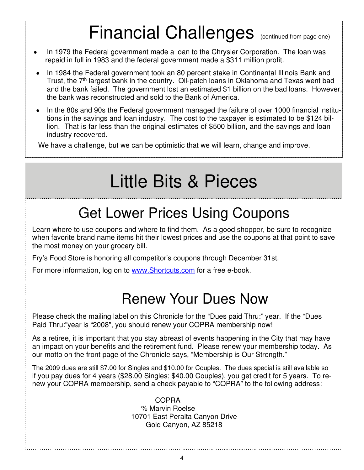## Financial Challenges (continued from page one)

 In 1979 the Federal government made a loan to the Chrysler Corporation. The loan was repaid in full in 1983 and the federal government made a \$311 million profit.

- In 1984 the Federal government took an 80 percent stake in Continental Illinois Bank and  $\bullet$ Trust, the 7<sup>th</sup> largest bank in the country. Oil-patch loans in Oklahoma and Texas went bad and the bank failed. The government lost an estimated \$1 billion on the bad loans. However, the bank was reconstructed and sold to the Bank of America.
- In the 80s and 90s the Federal government managed the failure of over 1000 financial institu- $\bullet$ tions in the savings and loan industry. The cost to the taxpayer is estimated to be \$124 billion. That is far less than the original estimates of \$500 billion, and the savings and loan industry recovered.

We have a challenge, but we can be optimistic that we will learn, change and improve.

## Little Bits & Pieces

### Get Lower Prices Using Coupons

Learn where to use coupons and where to find them. As a good shopper, be sure to recognize when favorite brand name items hit their lowest prices and use the coupons at that point to save the most money on your grocery bill.

Fry's Food Store is honoring all competitor's coupons through December 31st.

For more information, log on to www.Shortcuts.com for a free e-book.

### Renew Your Dues Now

Please check the mailing label on this Chronicle for the "Dues paid Thru:" year. If the "Dues Paid Thru:"year is "2008", you should renew your COPRA membership now!

As a retiree, it is important that you stay abreast of events happening in the City that may have an impact on your benefits and the retirement fund. Please renew your membership today. As our motto on the front page of the Chronicle says, "Membership is Our Strength."

The 2009 dues are still \$7.00 for Singles and \$10.00 for Couples. The dues special is still available so if you pay dues for 4 years (\$28.00 Singles; \$40.00 Couples), you get credit for 5 years. To renew your COPRA membership, send a check payable to "COPRA" to the following address:

> COPRA % Marvin Roelse 10701 East Peralta Canyon Drive Gold Canyon, AZ 85218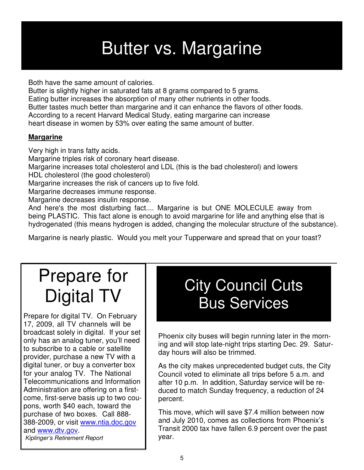## Butter vs. Margarine

Both have the same amount of calories.

Butter is slightly higher in saturated fats at 8 grams compared to 5 grams. Eating butter increases the absorption of many other nutrients in other foods. Butter tastes much better than margarine and it can enhance the flavors of other foods. According to a recent Harvard Medical Study, eating margarine can increase heart disease in women by 53% over eating the same amount of butter.

#### **Margarine**

Very high in trans fatty acids.

Margarine triples risk of coronary heart disease.

Margarine increases total cholesterol and LDL (this is the bad cholesterol) and lowers HDL cholesterol (the good cholesterol)

Margarine increases the risk of cancers up to five fold.

Margarine decreases immune response.

Margarine decreases insulin response.

And here's the most disturbing fact.... Margarine is but ONE MOLECULE away from being PLASTIC. This fact alone is enough to avoid margarine for life and anything else that is hydrogenated (this means hydrogen is added, changing the molecular structure of the substance).

Margarine is nearly plastic. Would you melt your Tupperware and spread that on your toast?

## Prepare for Digital TV

Prepare for digital TV. On February 17, 2009, all TV channels will be broadcast solely in digital. If your set only has an analog tuner, you'll need to subscribe to a cable or satellite provider, purchase a new TV with a digital tuner, or buy a converter box for your analog TV. The National Telecommunications and Information Administration are offering on a firstcome, first-serve basis up to two coupons, worth \$40 each, toward the purchase of two boxes. Call 888- 388-2009, or visit www.ntia.doc.gov and www.dtv.gov. Kiplinger's Retirement Report

### City Council Cuts Bus Services

Phoenix city buses will begin running later in the morning and will stop late-night trips starting Dec. 29. Saturday hours will also be trimmed.

As the city makes unprecedented budget cuts, the City Council voted to eliminate all trips before 5 a.m. and after 10 p.m. In addition, Saturday service will be reduced to match Sunday frequency, a reduction of 24 percent.

This move, which will save \$7.4 million between now and July 2010, comes as collections from Phoenix's Transit 2000 tax have fallen 6.9 percent over the past year.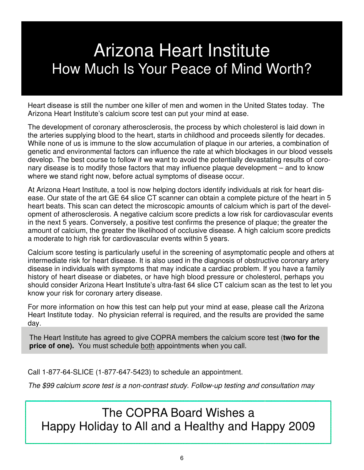## Arizona Heart Institute How Much Is Your Peace of Mind Worth?

Heart disease is still the number one killer of men and women in the United States today. The Arizona Heart Institute's calcium score test can put your mind at ease.

The development of coronary atherosclerosis, the process by which cholesterol is laid down in the arteries supplying blood to the heart, starts in childhood and proceeds silently for decades. While none of us is immune to the slow accumulation of plaque in our arteries, a combination of genetic and environmental factors can influence the rate at which blockages in our blood vessels develop. The best course to follow if we want to avoid the potentially devastating results of coronary disease is to modify those factors that may influence plaque development – and to know where we stand right now, before actual symptoms of disease occur.

At Arizona Heart Institute, a tool is now helping doctors identify individuals at risk for heart disease. Our state of the art GE 64 slice CT scanner can obtain a complete picture of the heart in 5 heart beats. This scan can detect the microscopic amounts of calcium which is part of the development of atherosclerosis. A negative calcium score predicts a low risk for cardiovascular events in the next 5 years. Conversely, a positive test confirms the presence of plaque; the greater the amount of calcium, the greater the likelihood of occlusive disease. A high calcium score predicts a moderate to high risk for cardiovascular events within 5 years.

Calcium score testing is particularly useful in the screening of asymptomatic people and others at intermediate risk for heart disease. It is also used in the diagnosis of obstructive coronary artery disease in individuals with symptoms that may indicate a cardiac problem. If you have a family history of heart disease or diabetes, or have high blood pressure or cholesterol, perhaps you should consider Arizona Heart Institute's ultra-fast 64 slice CT calcium scan as the test to let you know your risk for coronary artery disease.

For more information on how this test can help put your mind at ease, please call the Arizona Heart Institute today. No physician referral is required, and the results are provided the same day.

 The Heart Institute has agreed to give COPRA members the calcium score test (**two for the price of one).** You must schedule both appointments when you call.

Call 1-877-64-SLICE (1-877-647-5423) to schedule an appointment.

The \$99 calcium score test is a non-contrast study. Follow-up testing and consultation may

The COPRA Board Wishes a Happy Holiday to All and a Healthy and Happy 2009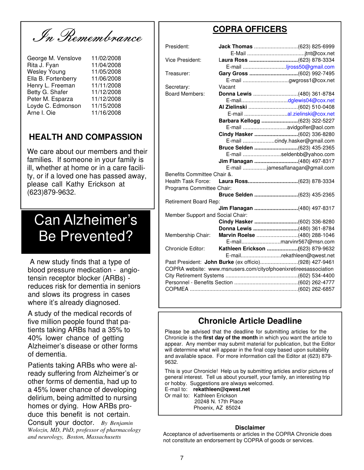In Remembrance

George M. Venslove 11/02/2008 Rita J. Fyan 11/04/2008 Wesley Young 11/05/2008 Ella B. Fortenberry 11/06/2008 Henry L. Freeman 11/11/2008 Betty G. Shafer 11/12/2008 Peter M. Esparza 11/12/2008 Loyde C. Edmonson 11/15/2008 Arne I. Oie 11/16/2008

### **HEALTH AND COMPASSION**

We care about our members and their families. If someone in your family is ill, whether at home or in a care facility, or if a loved one has passed away, please call Kathy Erickson at (623)879-9632.

### Can Alzheimer's Be Prevented?

 A new study finds that a type of blood pressure medication - angiotensin receptor blocker (ARBs) reduces risk for dementia in seniors and slows its progress in cases where it's already diagnosed.

A study of the medical records of five million people found that patients taking ARBs had a 35% to 40% lower chance of getting Alzheimer's disease or other forms of dementia.

Patients taking ARBs who were already suffering from Alzheimer's or other forms of dementia, had up to a 45% lower chance of developing delirium, being admitted to nursing homes or dying. How ARBs produce this benefit is not certain. Consult your doctor. *By Benjamin Wolozin, MD, PhD, professor of pharmacology and neurology, Boston, Massachusetts*

### **COPRA OFFICERS**

| President:                                                       |        |                                  |  |
|------------------------------------------------------------------|--------|----------------------------------|--|
| <b>Vice President:</b>                                           |        | Laura Ross (623) 878-3334        |  |
|                                                                  |        |                                  |  |
| Treasurer:                                                       |        |                                  |  |
|                                                                  |        | E-mail gwgross1@cox.net          |  |
| Secretary:                                                       | Vacant |                                  |  |
| <b>Board Members:</b>                                            |        | Donna Lewis (480) 361-8784       |  |
|                                                                  |        |                                  |  |
|                                                                  |        |                                  |  |
|                                                                  |        | E-mail al.zielinski@cox.net      |  |
|                                                                  |        |                                  |  |
|                                                                  |        | Barbara Kellogg (623) 322-5227   |  |
|                                                                  |        |                                  |  |
|                                                                  |        | Cindy Hasker (602) 336-8280      |  |
|                                                                  |        | E-mail cindy.hasker@gmail.com    |  |
|                                                                  |        | Bruce Selden (623) 435-2365      |  |
|                                                                  |        | E-mail seldenbb@yahoo.com        |  |
|                                                                  |        | Jim Flanagan (480) 497-8317      |  |
| E-mail jamesaflanagan@gmail.com                                  |        |                                  |  |
| Benefits Committee Chair &.<br>Health Task Force:                |        |                                  |  |
| Programs Committee Chair:                                        |        |                                  |  |
|                                                                  |        | Bruce Selden (623) 435-2365      |  |
| Retirement Board Rep:                                            |        |                                  |  |
|                                                                  |        | Jim Flanagan (480) 497-8317      |  |
| Member Support and Social Chair:                                 |        |                                  |  |
|                                                                  |        |                                  |  |
|                                                                  |        | Donna Lewis (480) 361-8784       |  |
| Membership Chair:                                                |        | Marvin Roelse (480) 288-1046     |  |
|                                                                  |        | E-mailmarvinr567@msn.com         |  |
| Chronicle Editor:                                                |        | Kathleen Erickson (623) 879-9632 |  |
|                                                                  |        | E-mailrekathleen@qwest.net       |  |
| Past President: John Burke (ex officio)(928) 427-9461            |        |                                  |  |
| COPRA website: www.msnusers.com/cityofphoenixretireesassociation |        |                                  |  |
|                                                                  |        |                                  |  |
|                                                                  |        |                                  |  |
|                                                                  |        |                                  |  |
|                                                                  |        |                                  |  |

### **Chronicle Article Deadline**

Please be advised that the deadline for submitting articles for the Chronicle is the **first day of the month** in which you want the article to appear. Any member may submit material for publication, but the Editor will determine what will appear in the final copy based upon suitability and available space. For more information call the Editor at (623) 879- 9632.

This is your Chronicle! Help us by submitting articles and/or pictures of general interest. Tell us about yourself, your family, an interesting trip or hobby. Suggestions are always welcomed.

E-mail to: **rekathleen@qwest.net**

Or mail to: Kathleen Erickson 20248 N. 17th Place

Phoenix, AZ 85024

#### **Disclaimer**

Acceptance of advertisements or articles in the COPRA Chronicle does not constitute an endorsement by COPRA of goods or services.